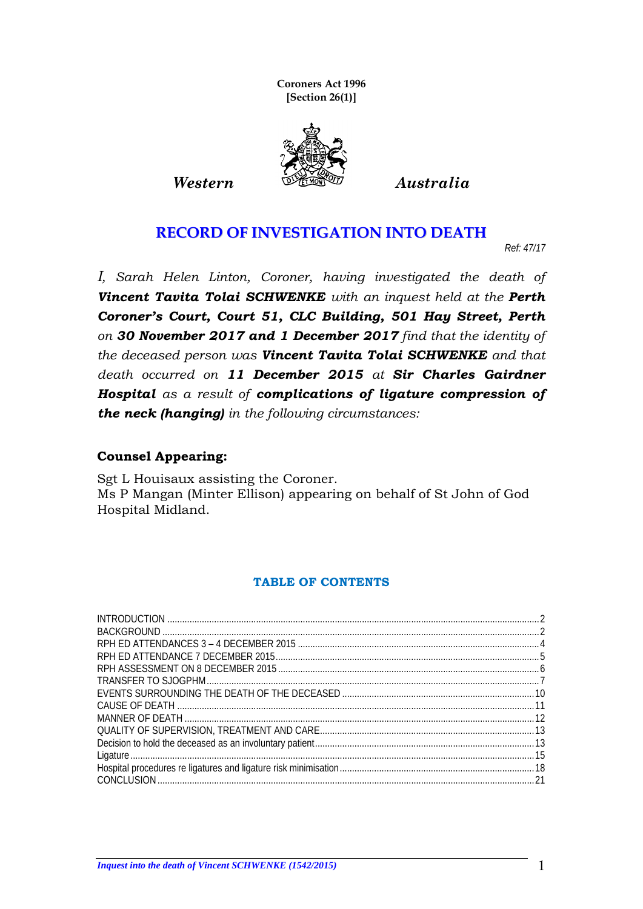**Coroners Act 1996 [Section 26(1)]**



## **RECORD OF INVESTIGATION INTO DEATH**

*Ref: 47/17*

*I, Sarah Helen Linton, Coroner, having investigated the death of Vincent Tavita Tolai SCHWENKE with an inquest held at the Perth Coroner's Court, Court 51, CLC Building, 501 Hay Street, Perth on 30 November 2017 and 1 December 2017 find that the identity of the deceased person was Vincent Tavita Tolai SCHWENKE and that death occurred on 11 December 2015 at Sir Charles Gairdner Hospital as a result of complications of ligature compression of the neck (hanging) in the following circumstances:*

#### **Counsel Appearing:**

Sgt L Houisaux assisting the Coroner. Ms P Mangan (Minter Ellison) appearing on behalf of St John of God Hospital Midland.

#### **TABLE OF CONTENTS**

<span id="page-0-0"></span>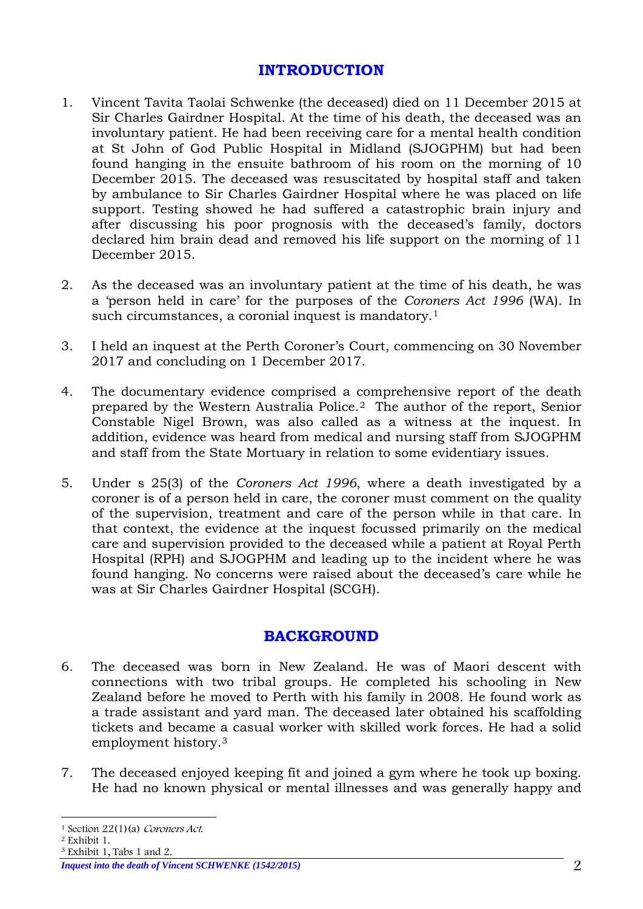# **INTRODUCTION**

- <span id="page-1-0"></span>1. Vincent Tavita Taolai Schwenke (the deceased) died on 11 December 2015 at Sir Charles Gairdner Hospital. At the time of his death, the deceased was an involuntary patient. He had been receiving care for a mental health condition at St John of God Public Hospital in Midland (SJOGPHM) but had been found hanging in the ensuite bathroom of his room on the morning of 10 December 2015. The deceased was resuscitated by hospital staff and taken by ambulance to Sir Charles Gairdner Hospital where he was placed on life support. Testing showed he had suffered a catastrophic brain injury and after discussing his poor prognosis with the deceased's family, doctors declared him brain dead and removed his life support on the morning of 11 December 2015.
- 2. As the deceased was an involuntary patient at the time of his death, he was a 'person held in care' for the purposes of the *Coroners Act 1996* (WA). In such circumstances, a coronial inquest is mandatory.<sup>[1](#page-0-0)</sup>
- 3. I held an inquest at the Perth Coroner's Court, commencing on 30 November 2017 and concluding on 1 December 2017.
- 4. The documentary evidence comprised a comprehensive report of the death prepared by the Western Australia Police.[2](#page-1-2) The author of the report, Senior Constable Nigel Brown, was also called as a witness at the inquest. In addition, evidence was heard from medical and nursing staff from SJOGPHM and staff from the State Mortuary in relation to some evidentiary issues.
- 5. Under s 25(3) of the *Coroners Act 1996*, where a death investigated by a coroner is of a person held in care, the coroner must comment on the quality of the supervision, treatment and care of the person while in that care. In that context, the evidence at the inquest focussed primarily on the medical care and supervision provided to the deceased while a patient at Royal Perth Hospital (RPH) and SJOGPHM and leading up to the incident where he was found hanging. No concerns were raised about the deceased's care while he was at Sir Charles Gairdner Hospital (SCGH).

# **BACKGROUND**

- <span id="page-1-1"></span>6. The deceased was born in New Zealand. He was of Maori descent with connections with two tribal groups. He completed his schooling in New Zealand before he moved to Perth with his family in 2008. He found work as a trade assistant and yard man. The deceased later obtained his scaffolding tickets and became a casual worker with skilled work forces. He had a solid employment history.[3](#page-1-3)
- <span id="page-1-4"></span>7. The deceased enjoyed keeping fit and joined a gym where he took up boxing. He had no known physical or mental illnesses and was generally happy and

 $1$  Section 22(1)(a) Coroners Act.

<span id="page-1-2"></span><sup>2</sup> Exhibit 1.

<span id="page-1-3"></span><sup>3</sup> Exhibit 1, Tabs 1 and 2.

*Inquest into the death of Vincent SCHWENKE (1542/2015)* 2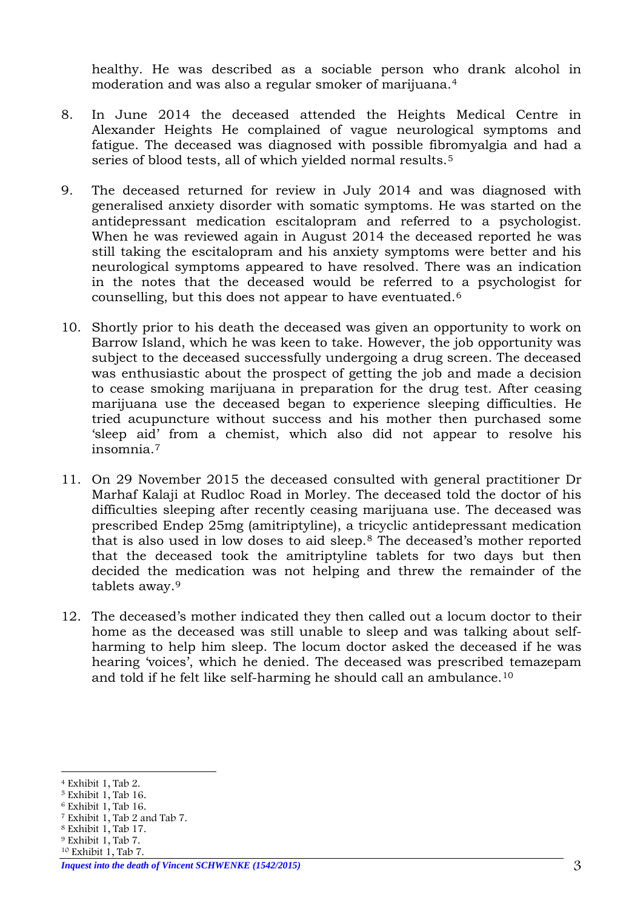healthy. He was described as a sociable person who drank alcohol in moderation and was also a regular smoker of marijuana.[4](#page-1-4)

- 8. In June 2014 the deceased attended the Heights Medical Centre in Alexander Heights He complained of vague neurological symptoms and fatigue. The deceased was diagnosed with possible fibromyalgia and had a series of blood tests, all of which vielded normal results.<sup>[5](#page-2-0)</sup>
- 9. The deceased returned for review in July 2014 and was diagnosed with generalised anxiety disorder with somatic symptoms. He was started on the antidepressant medication escitalopram and referred to a psychologist. When he was reviewed again in August 2014 the deceased reported he was still taking the escitalopram and his anxiety symptoms were better and his neurological symptoms appeared to have resolved. There was an indication in the notes that the deceased would be referred to a psychologist for counselling, but this does not appear to have eventuated.[6](#page-2-1)
- 10. Shortly prior to his death the deceased was given an opportunity to work on Barrow Island, which he was keen to take. However, the job opportunity was subject to the deceased successfully undergoing a drug screen. The deceased was enthusiastic about the prospect of getting the job and made a decision to cease smoking marijuana in preparation for the drug test. After ceasing marijuana use the deceased began to experience sleeping difficulties. He tried acupuncture without success and his mother then purchased some 'sleep aid' from a chemist, which also did not appear to resolve his insomnia.[7](#page-2-2)
- 11. On 29 November 2015 the deceased consulted with general practitioner Dr Marhaf Kalaji at Rudloc Road in Morley. The deceased told the doctor of his difficulties sleeping after recently ceasing marijuana use. The deceased was prescribed Endep 25mg (amitriptyline), a tricyclic antidepressant medication that is also used in low doses to aid sleep.[8](#page-2-3) The deceased's mother reported that the deceased took the amitriptyline tablets for two days but then decided the medication was not helping and threw the remainder of the tablets away.[9](#page-2-4)
- 12. The deceased's mother indicated they then called out a locum doctor to their home as the deceased was still unable to sleep and was talking about selfharming to help him sleep. The locum doctor asked the deceased if he was hearing 'voices', which he denied. The deceased was prescribed temazepam and told if he felt like self-harming he should call an ambulance.[10](#page-2-5)

<span id="page-2-6"></span> <sup>4</sup> Exhibit 1, Tab 2.

<span id="page-2-0"></span><sup>5</sup> Exhibit 1, Tab 16.

<sup>6</sup> Exhibit 1, Tab 16.

<span id="page-2-2"></span><span id="page-2-1"></span><sup>7</sup> Exhibit 1, Tab 2 and Tab 7.

<span id="page-2-3"></span><sup>8</sup> Exhibit 1, Tab 17.

<span id="page-2-4"></span><sup>9</sup> Exhibit 1, Tab 7.

<span id="page-2-5"></span><sup>10</sup> Exhibit 1, Tab 7.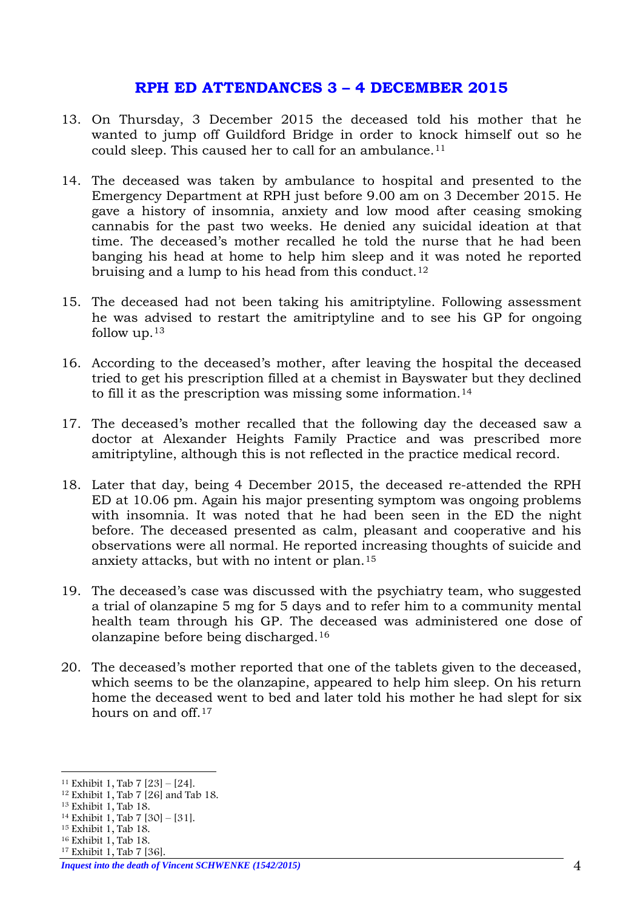### **RPH ED ATTENDANCES 3 – 4 DECEMBER 2015**

- <span id="page-3-0"></span>13. On Thursday, 3 December 2015 the deceased told his mother that he wanted to jump off Guildford Bridge in order to knock himself out so he could sleep. This caused her to call for an ambulance.<sup>[11](#page-2-6)</sup>
- 14. The deceased was taken by ambulance to hospital and presented to the Emergency Department at RPH just before 9.00 am on 3 December 2015. He gave a history of insomnia, anxiety and low mood after ceasing smoking cannabis for the past two weeks. He denied any suicidal ideation at that time. The deceased's mother recalled he told the nurse that he had been banging his head at home to help him sleep and it was noted he reported bruising and a lump to his head from this conduct.<sup>[12](#page-3-1)</sup>
- 15. The deceased had not been taking his amitriptyline. Following assessment he was advised to restart the amitriptyline and to see his GP for ongoing follow up.[13](#page-3-2)
- 16. According to the deceased's mother, after leaving the hospital the deceased tried to get his prescription filled at a chemist in Bayswater but they declined to fill it as the prescription was missing some information.[14](#page-3-3)
- 17. The deceased's mother recalled that the following day the deceased saw a doctor at Alexander Heights Family Practice and was prescribed more amitriptyline, although this is not reflected in the practice medical record.
- 18. Later that day, being 4 December 2015, the deceased re-attended the RPH ED at 10.06 pm. Again his major presenting symptom was ongoing problems with insomnia. It was noted that he had been seen in the ED the night before. The deceased presented as calm, pleasant and cooperative and his observations were all normal. He reported increasing thoughts of suicide and anxiety attacks, but with no intent or plan.[15](#page-3-4)
- 19. The deceased's case was discussed with the psychiatry team, who suggested a trial of olanzapine 5 mg for 5 days and to refer him to a community mental health team through his GP. The deceased was administered one dose of olanzapine before being discharged.[16](#page-3-5)
- 20. The deceased's mother reported that one of the tablets given to the deceased, which seems to be the olanzapine, appeared to help him sleep. On his return home the deceased went to bed and later told his mother he had slept for six hours on and off.[17](#page-3-6)

 <sup>11</sup> Exhibit 1, Tab 7 [23] – [24].

<span id="page-3-1"></span><sup>12</sup> Exhibit 1, Tab 7 [26] and Tab 18.

<span id="page-3-2"></span><sup>13</sup> Exhibit 1, Tab 18.

<sup>14</sup> Exhibit 1, Tab 7 [30] – [31].

<span id="page-3-4"></span><span id="page-3-3"></span><sup>&</sup>lt;sup>15</sup> Exhibit 1, Tab 18.

<span id="page-3-6"></span><span id="page-3-5"></span><sup>16</sup> Exhibit 1, Tab 18. <sup>17</sup> Exhibit 1, Tab 7 [36].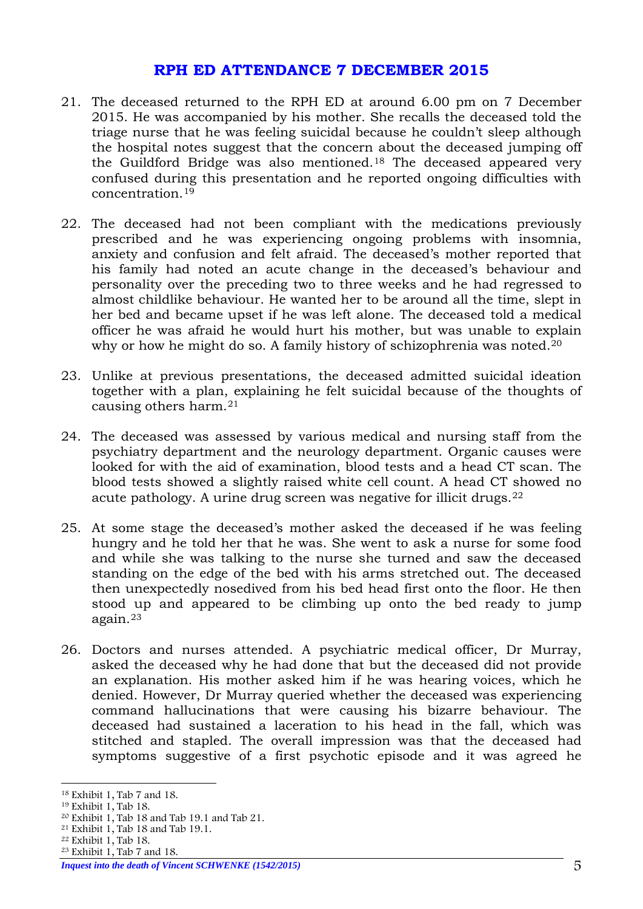#### **RPH ED ATTENDANCE 7 DECEMBER 2015**

- <span id="page-4-0"></span>21. The deceased returned to the RPH ED at around 6.00 pm on 7 December 2015. He was accompanied by his mother. She recalls the deceased told the triage nurse that he was feeling suicidal because he couldn't sleep although the hospital notes suggest that the concern about the deceased jumping off the Guildford Bridge was also mentioned.[18](#page-3-1) The deceased appeared very confused during this presentation and he reported ongoing difficulties with concentration.[19](#page-4-1)
- 22. The deceased had not been compliant with the medications previously prescribed and he was experiencing ongoing problems with insomnia, anxiety and confusion and felt afraid. The deceased's mother reported that his family had noted an acute change in the deceased's behaviour and personality over the preceding two to three weeks and he had regressed to almost childlike behaviour. He wanted her to be around all the time, slept in her bed and became upset if he was left alone. The deceased told a medical officer he was afraid he would hurt his mother, but was unable to explain why or how he might do so. A family history of schizophrenia was noted.<sup>[20](#page-4-2)</sup>
- 23. Unlike at previous presentations, the deceased admitted suicidal ideation together with a plan, explaining he felt suicidal because of the thoughts of causing others harm.[21](#page-4-3)
- 24. The deceased was assessed by various medical and nursing staff from the psychiatry department and the neurology department. Organic causes were looked for with the aid of examination, blood tests and a head CT scan. The blood tests showed a slightly raised white cell count. A head CT showed no acute pathology. A urine drug screen was negative for illicit drugs.<sup>[22](#page-4-4)</sup>
- 25. At some stage the deceased's mother asked the deceased if he was feeling hungry and he told her that he was. She went to ask a nurse for some food and while she was talking to the nurse she turned and saw the deceased standing on the edge of the bed with his arms stretched out. The deceased then unexpectedly nosedived from his bed head first onto the floor. He then stood up and appeared to be climbing up onto the bed ready to jump again.[23](#page-4-5)
- 26. Doctors and nurses attended. A psychiatric medical officer, Dr Murray, asked the deceased why he had done that but the deceased did not provide an explanation. His mother asked him if he was hearing voices, which he denied. However, Dr Murray queried whether the deceased was experiencing command hallucinations that were causing his bizarre behaviour. The deceased had sustained a laceration to his head in the fall, which was stitched and stapled. The overall impression was that the deceased had symptoms suggestive of a first psychotic episode and it was agreed he

<sup>&</sup>lt;sup>18</sup> Exhibit 1, Tab 7 and 18.<br><sup>19</sup> Exhibit 1, Tab 18.

<span id="page-4-2"></span><span id="page-4-1"></span><sup>&</sup>lt;sup>20</sup> Exhibit 1, Tab 18 and Tab 19.1 and Tab 21.

<span id="page-4-3"></span><sup>21</sup> Exhibit 1, Tab 18 and Tab 19.1.

<span id="page-4-4"></span><sup>22</sup> Exhibit 1, Tab 18.

<span id="page-4-5"></span><sup>23</sup> Exhibit 1, Tab 7 and 18.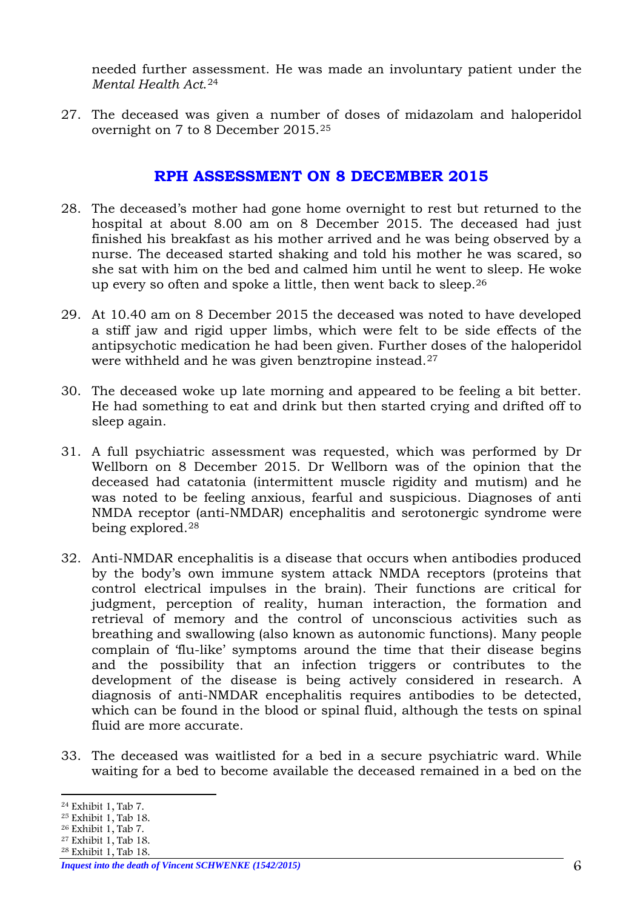needed further assessment. He was made an involuntary patient under the *Mental Health Act*.[24](#page-4-1)

27. The deceased was given a number of doses of midazolam and haloperidol overnight on 7 to 8 December 2015.[25](#page-5-1)

# **RPH ASSESSMENT ON 8 DECEMBER 2015**

- <span id="page-5-0"></span>28. The deceased's mother had gone home overnight to rest but returned to the hospital at about 8.00 am on 8 December 2015. The deceased had just finished his breakfast as his mother arrived and he was being observed by a nurse. The deceased started shaking and told his mother he was scared, so she sat with him on the bed and calmed him until he went to sleep. He woke up every so often and spoke a little, then went back to sleep.[26](#page-5-2)
- 29. At 10.40 am on 8 December 2015 the deceased was noted to have developed a stiff jaw and rigid upper limbs, which were felt to be side effects of the antipsychotic medication he had been given. Further doses of the haloperidol were withheld and he was given benztropine instead.[27](#page-5-3)
- 30. The deceased woke up late morning and appeared to be feeling a bit better. He had something to eat and drink but then started crying and drifted off to sleep again.
- 31. A full psychiatric assessment was requested, which was performed by Dr Wellborn on 8 December 2015. Dr Wellborn was of the opinion that the deceased had catatonia (intermittent muscle rigidity and mutism) and he was noted to be feeling anxious, fearful and suspicious. Diagnoses of anti NMDA receptor (anti-NMDAR) encephalitis and serotonergic syndrome were being explored[.28](#page-5-4)
- 32. Anti-NMDAR encephalitis is a disease that occurs when antibodies produced by the body's own immune system attack NMDA receptors (proteins that control electrical impulses in the brain). Their functions are critical for judgment, perception of reality, human interaction, the formation and retrieval of memory and the control of unconscious activities such as breathing and swallowing (also known as autonomic functions). Many people complain of 'flu-like' symptoms around the time that their disease begins and the possibility that an infection triggers or contributes to the development of the disease is being actively considered in research. A diagnosis of anti-NMDAR encephalitis requires antibodies to be detected, which can be found in the blood or spinal fluid, although the tests on spinal fluid are more accurate.
- 33. The deceased was waitlisted for a bed in a secure psychiatric ward. While waiting for a bed to become available the deceased remained in a bed on the

<span id="page-5-5"></span> <sup>24</sup> Exhibit 1, Tab 7.

<span id="page-5-1"></span><sup>25</sup> Exhibit 1, Tab 18.

<span id="page-5-2"></span><sup>26</sup> Exhibit 1, Tab 7.

<span id="page-5-4"></span><span id="page-5-3"></span><sup>27</sup> Exhibit 1, Tab 18. <sup>28</sup> Exhibit 1, Tab 18.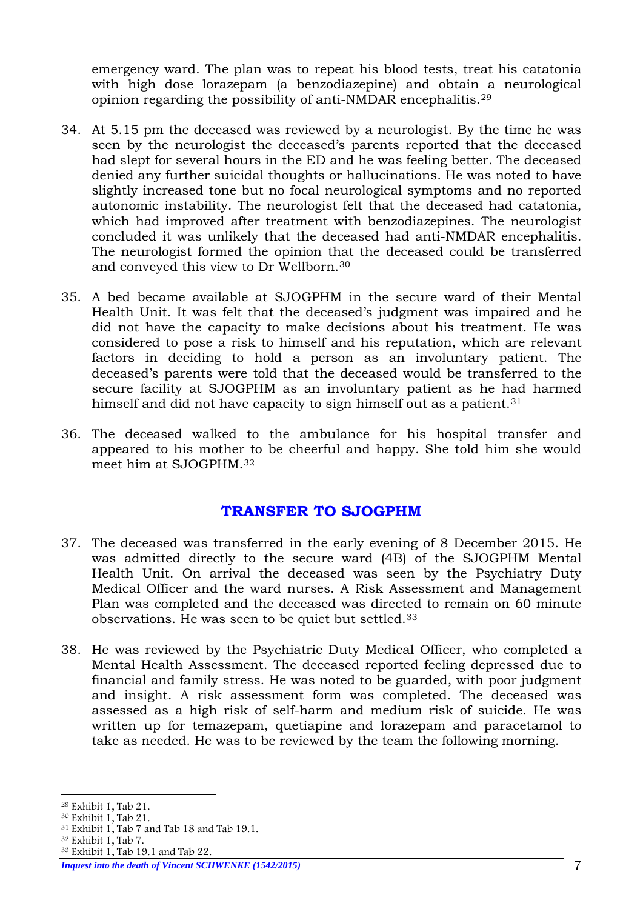emergency ward. The plan was to repeat his blood tests, treat his catatonia with high dose lorazepam (a benzodiazepine) and obtain a neurological opinion regarding the possibility of anti-NMDAR encephalitis.[29](#page-5-5)

- 34. At 5.15 pm the deceased was reviewed by a neurologist. By the time he was seen by the neurologist the deceased's parents reported that the deceased had slept for several hours in the ED and he was feeling better. The deceased denied any further suicidal thoughts or hallucinations. He was noted to have slightly increased tone but no focal neurological symptoms and no reported autonomic instability. The neurologist felt that the deceased had catatonia, which had improved after treatment with benzodiazepines. The neurologist concluded it was unlikely that the deceased had anti-NMDAR encephalitis. The neurologist formed the opinion that the deceased could be transferred and conveyed this view to Dr Wellborn.[30](#page-6-1)
- 35. A bed became available at SJOGPHM in the secure ward of their Mental Health Unit. It was felt that the deceased's judgment was impaired and he did not have the capacity to make decisions about his treatment. He was considered to pose a risk to himself and his reputation, which are relevant factors in deciding to hold a person as an involuntary patient. The deceased's parents were told that the deceased would be transferred to the secure facility at SJOGPHM as an involuntary patient as he had harmed himself and did not have capacity to sign himself out as a patient.<sup>[31](#page-6-2)</sup>
- 36. The deceased walked to the ambulance for his hospital transfer and appeared to his mother to be cheerful and happy. She told him she would meet him at SJOGPHM.[32](#page-6-3)

#### **TRANSFER TO SJOGPHM**

- <span id="page-6-0"></span>37. The deceased was transferred in the early evening of 8 December 2015. He was admitted directly to the secure ward (4B) of the SJOGPHM Mental Health Unit. On arrival the deceased was seen by the Psychiatry Duty Medical Officer and the ward nurses. A Risk Assessment and Management Plan was completed and the deceased was directed to remain on 60 minute observations. He was seen to be quiet but settled.[33](#page-6-4)
- 38. He was reviewed by the Psychiatric Duty Medical Officer, who completed a Mental Health Assessment. The deceased reported feeling depressed due to financial and family stress. He was noted to be guarded, with poor judgment and insight. A risk assessment form was completed. The deceased was assessed as a high risk of self-harm and medium risk of suicide. He was written up for temazepam, quetiapine and lorazepam and paracetamol to take as needed. He was to be reviewed by the team the following morning.

<span id="page-6-4"></span>*Inquest into the death of Vincent SCHWENKE (1542/2015)* 7 <sup>33</sup> Exhibit 1, Tab 19.1 and Tab 22.

<span id="page-6-5"></span> <sup>29</sup> Exhibit 1, Tab 21.

<span id="page-6-1"></span><sup>30</sup> Exhibit 1, Tab 21.

<span id="page-6-2"></span> $31$  Exhibit 1, Tab 7 and Tab 18 and Tab 19.1.

<span id="page-6-3"></span><sup>32</sup> Exhibit 1, Tab 7.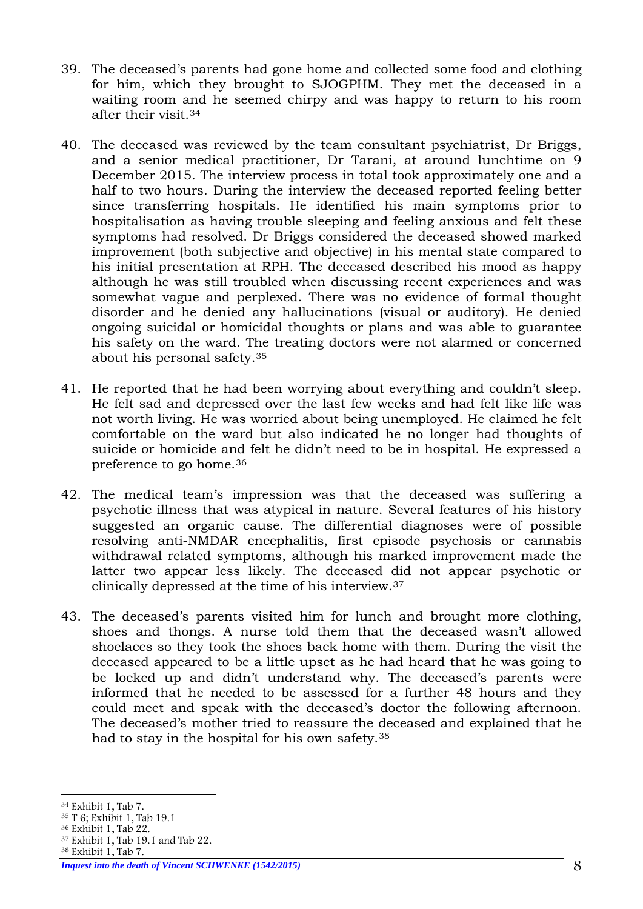- 39. The deceased's parents had gone home and collected some food and clothing for him, which they brought to SJOGPHM. They met the deceased in a waiting room and he seemed chirpy and was happy to return to his room after their visit.[34](#page-6-5)
- 40. The deceased was reviewed by the team consultant psychiatrist, Dr Briggs, and a senior medical practitioner, Dr Tarani, at around lunchtime on 9 December 2015. The interview process in total took approximately one and a half to two hours. During the interview the deceased reported feeling better since transferring hospitals. He identified his main symptoms prior to hospitalisation as having trouble sleeping and feeling anxious and felt these symptoms had resolved. Dr Briggs considered the deceased showed marked improvement (both subjective and objective) in his mental state compared to his initial presentation at RPH. The deceased described his mood as happy although he was still troubled when discussing recent experiences and was somewhat vague and perplexed. There was no evidence of formal thought disorder and he denied any hallucinations (visual or auditory). He denied ongoing suicidal or homicidal thoughts or plans and was able to guarantee his safety on the ward. The treating doctors were not alarmed or concerned about his personal safety.[35](#page-7-0)
- 41. He reported that he had been worrying about everything and couldn't sleep. He felt sad and depressed over the last few weeks and had felt like life was not worth living. He was worried about being unemployed. He claimed he felt comfortable on the ward but also indicated he no longer had thoughts of suicide or homicide and felt he didn't need to be in hospital. He expressed a preference to go home.[36](#page-7-1)
- 42. The medical team's impression was that the deceased was suffering a psychotic illness that was atypical in nature. Several features of his history suggested an organic cause. The differential diagnoses were of possible resolving anti-NMDAR encephalitis, first episode psychosis or cannabis withdrawal related symptoms, although his marked improvement made the latter two appear less likely. The deceased did not appear psychotic or clinically depressed at the time of his interview.[37](#page-7-2)
- 43. The deceased's parents visited him for lunch and brought more clothing, shoes and thongs. A nurse told them that the deceased wasn't allowed shoelaces so they took the shoes back home with them. During the visit the deceased appeared to be a little upset as he had heard that he was going to be locked up and didn't understand why. The deceased's parents were informed that he needed to be assessed for a further 48 hours and they could meet and speak with the deceased's doctor the following afternoon. The deceased's mother tried to reassure the deceased and explained that he had to stay in the hospital for his own safety.[38](#page-7-3)

<span id="page-7-4"></span> <sup>34</sup> Exhibit 1, Tab 7.

<span id="page-7-0"></span><sup>35</sup> T 6; Exhibit 1, Tab 19.1

<span id="page-7-1"></span><sup>36</sup> Exhibit 1, Tab 22. <sup>37</sup> Exhibit 1, Tab 19.1 and Tab 22.

<span id="page-7-3"></span><span id="page-7-2"></span><sup>38</sup> Exhibit 1, Tab 7.

*Inquest into the death of Vincent SCHWENKE (1542/2015)* 8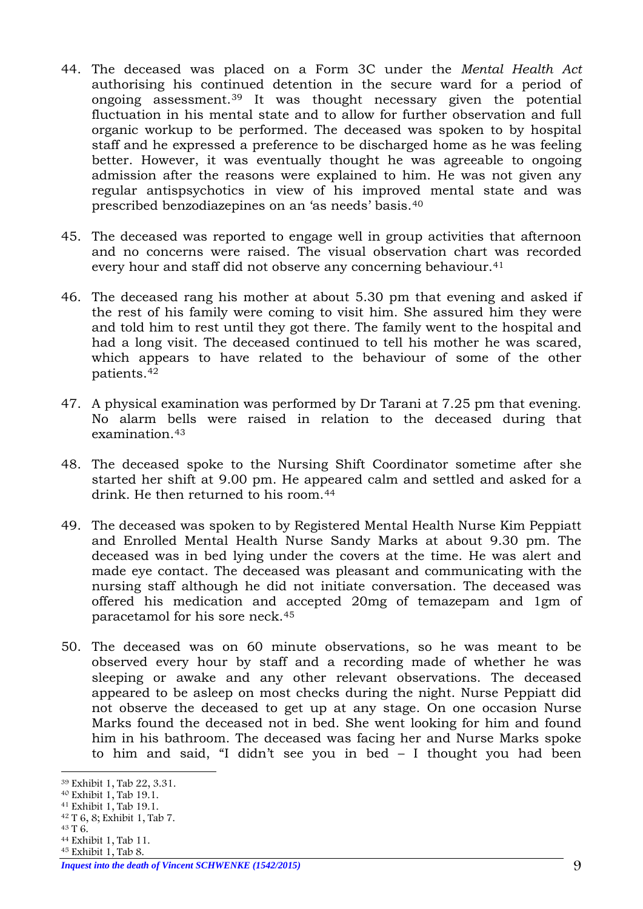- 44. The deceased was placed on a Form 3C under the *Mental Health Act* authorising his continued detention in the secure ward for a period of ongoing assessment.[39](#page-7-4) It was thought necessary given the potential fluctuation in his mental state and to allow for further observation and full organic workup to be performed. The deceased was spoken to by hospital staff and he expressed a preference to be discharged home as he was feeling better. However, it was eventually thought he was agreeable to ongoing admission after the reasons were explained to him. He was not given any regular antispsychotics in view of his improved mental state and was prescribed benzodiazepines on an 'as needs' basis.[40](#page-8-0)
- 45. The deceased was reported to engage well in group activities that afternoon and no concerns were raised. The visual observation chart was recorded every hour and staff did not observe any concerning behaviour.<sup>[41](#page-8-1)</sup>
- 46. The deceased rang his mother at about 5.30 pm that evening and asked if the rest of his family were coming to visit him. She assured him they were and told him to rest until they got there. The family went to the hospital and had a long visit. The deceased continued to tell his mother he was scared, which appears to have related to the behaviour of some of the other patients.[42](#page-8-2)
- 47. A physical examination was performed by Dr Tarani at 7.25 pm that evening. No alarm bells were raised in relation to the deceased during that examination.[43](#page-8-3)
- 48. The deceased spoke to the Nursing Shift Coordinator sometime after she started her shift at 9.00 pm. He appeared calm and settled and asked for a drink. He then returned to his room.<sup>[44](#page-8-4)</sup>
- 49. The deceased was spoken to by Registered Mental Health Nurse Kim Peppiatt and Enrolled Mental Health Nurse Sandy Marks at about 9.30 pm. The deceased was in bed lying under the covers at the time. He was alert and made eye contact. The deceased was pleasant and communicating with the nursing staff although he did not initiate conversation. The deceased was offered his medication and accepted 20mg of temazepam and 1gm of paracetamol for his sore neck.[45](#page-8-5)
- 50. The deceased was on 60 minute observations, so he was meant to be observed every hour by staff and a recording made of whether he was sleeping or awake and any other relevant observations. The deceased appeared to be asleep on most checks during the night. Nurse Peppiatt did not observe the deceased to get up at any stage. On one occasion Nurse Marks found the deceased not in bed. She went looking for him and found him in his bathroom. The deceased was facing her and Nurse Marks spoke to him and said, "I didn't see you in bed – I thought you had been

<span id="page-8-4"></span><sup>44</sup> Exhibit 1, Tab 11.

 <sup>39</sup> Exhibit 1, Tab 22, 3.31.

<span id="page-8-0"></span><sup>40</sup> Exhibit 1, Tab 19.1.

<span id="page-8-1"></span><sup>41</sup> Exhibit 1, Tab 19.1.

<span id="page-8-2"></span><sup>42</sup> T 6, 8; Exhibit 1, Tab 7.

<span id="page-8-3"></span><sup>43</sup> T 6.

<sup>45</sup> Exhibit 1, Tab 8.

<span id="page-8-5"></span>*Inquest into the death of Vincent SCHWENKE (1542/2015)* 9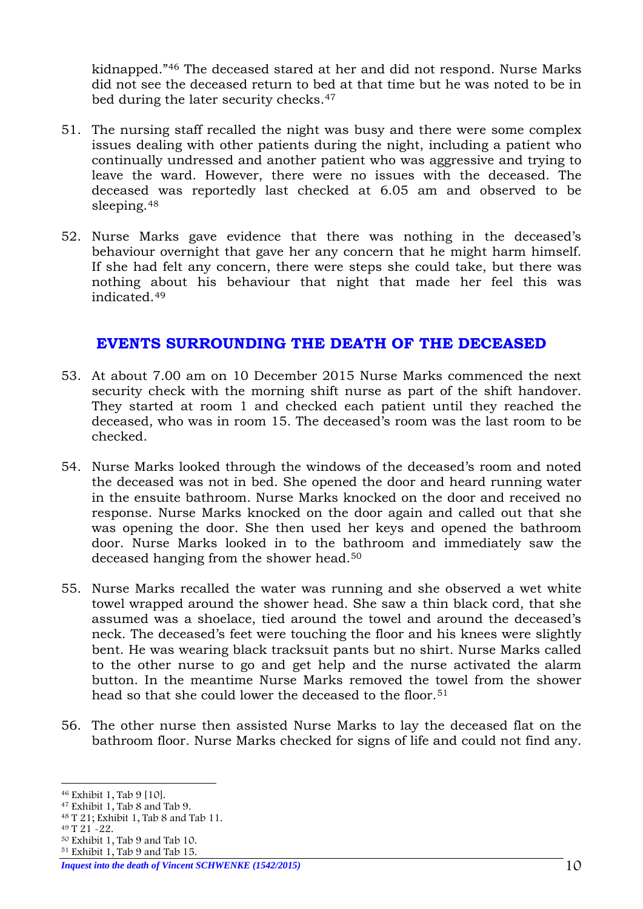kidnapped."[46](#page-8-0) The deceased stared at her and did not respond. Nurse Marks did not see the deceased return to bed at that time but he was noted to be in bed during the later security checks.[47](#page-9-1)

- 51. The nursing staff recalled the night was busy and there were some complex issues dealing with other patients during the night, including a patient who continually undressed and another patient who was aggressive and trying to leave the ward. However, there were no issues with the deceased. The deceased was reportedly last checked at 6.05 am and observed to be sleeping.[48](#page-9-2)
- 52. Nurse Marks gave evidence that there was nothing in the deceased's behaviour overnight that gave her any concern that he might harm himself. If she had felt any concern, there were steps she could take, but there was nothing about his behaviour that night that made her feel this was indicated.[49](#page-9-3)

### **EVENTS SURROUNDING THE DEATH OF THE DECEASED**

- <span id="page-9-0"></span>53. At about 7.00 am on 10 December 2015 Nurse Marks commenced the next security check with the morning shift nurse as part of the shift handover. They started at room 1 and checked each patient until they reached the deceased, who was in room 15. The deceased's room was the last room to be checked.
- 54. Nurse Marks looked through the windows of the deceased's room and noted the deceased was not in bed. She opened the door and heard running water in the ensuite bathroom. Nurse Marks knocked on the door and received no response. Nurse Marks knocked on the door again and called out that she was opening the door. She then used her keys and opened the bathroom door. Nurse Marks looked in to the bathroom and immediately saw the deceased hanging from the shower head.[50](#page-9-4)
- 55. Nurse Marks recalled the water was running and she observed a wet white towel wrapped around the shower head. She saw a thin black cord, that she assumed was a shoelace, tied around the towel and around the deceased's neck. The deceased's feet were touching the floor and his knees were slightly bent. He was wearing black tracksuit pants but no shirt. Nurse Marks called to the other nurse to go and get help and the nurse activated the alarm button. In the meantime Nurse Marks removed the towel from the shower head so that she could lower the deceased to the floor.<sup>[51](#page-9-5)</sup>
- 56. The other nurse then assisted Nurse Marks to lay the deceased flat on the bathroom floor. Nurse Marks checked for signs of life and could not find any.

<span id="page-9-6"></span> <sup>46</sup> Exhibit 1, Tab 9 [10].

<span id="page-9-1"></span><sup>47</sup> Exhibit 1, Tab 8 and Tab 9.

<span id="page-9-2"></span><sup>48</sup> T 21; Exhibit 1, Tab 8 and Tab 11.

<span id="page-9-3"></span><sup>49</sup> T 21 -22.

<span id="page-9-4"></span><sup>50</sup> Exhibit 1, Tab 9 and Tab 10.

<span id="page-9-5"></span><sup>51</sup> Exhibit 1, Tab 9 and Tab 15.

*Inquest into the death of Vincent SCHWENKE* (1542/2015) 10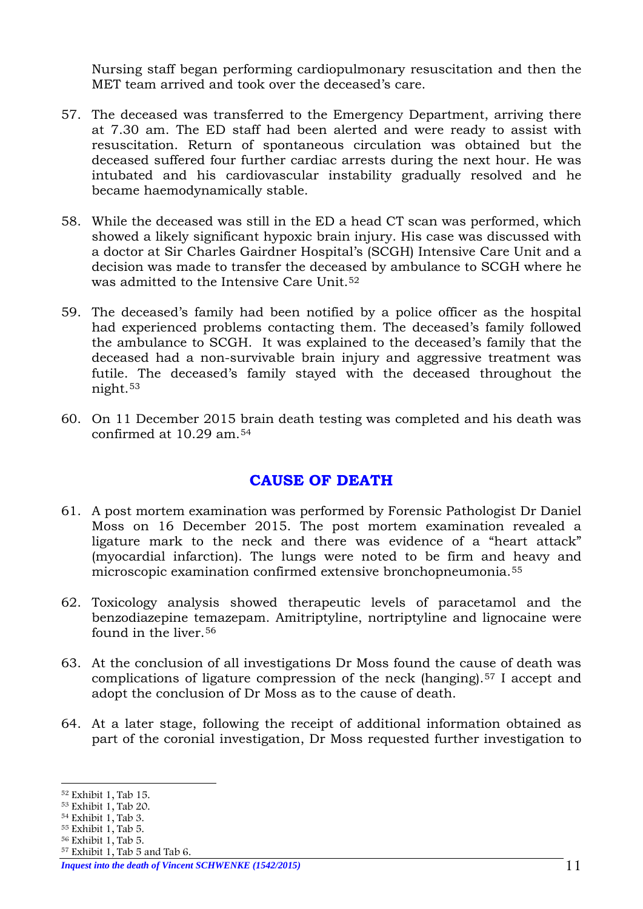Nursing staff began performing cardiopulmonary resuscitation and then the MET team arrived and took over the deceased's care.

- 57. The deceased was transferred to the Emergency Department, arriving there at 7.30 am. The ED staff had been alerted and were ready to assist with resuscitation. Return of spontaneous circulation was obtained but the deceased suffered four further cardiac arrests during the next hour. He was intubated and his cardiovascular instability gradually resolved and he became haemodynamically stable.
- 58. While the deceased was still in the ED a head CT scan was performed, which showed a likely significant hypoxic brain injury. His case was discussed with a doctor at Sir Charles Gairdner Hospital's (SCGH) Intensive Care Unit and a decision was made to transfer the deceased by ambulance to SCGH where he was admitted to the Intensive Care Unit.<sup>[52](#page-9-6)</sup>
- 59. The deceased's family had been notified by a police officer as the hospital had experienced problems contacting them. The deceased's family followed the ambulance to SCGH. It was explained to the deceased's family that the deceased had a non-survivable brain injury and aggressive treatment was futile. The deceased's family stayed with the deceased throughout the night.[53](#page-10-1)
- 60. On 11 December 2015 brain death testing was completed and his death was confirmed at 10.29 am.[54](#page-10-2)

# **CAUSE OF DEATH**

- <span id="page-10-0"></span>61. A post mortem examination was performed by Forensic Pathologist Dr Daniel Moss on 16 December 2015. The post mortem examination revealed a ligature mark to the neck and there was evidence of a "heart attack" (myocardial infarction). The lungs were noted to be firm and heavy and microscopic examination confirmed extensive bronchopneumonia.[55](#page-10-3)
- 62. Toxicology analysis showed therapeutic levels of paracetamol and the benzodiazepine temazepam. Amitriptyline, nortriptyline and lignocaine were found in the liver.[56](#page-10-4)
- 63. At the conclusion of all investigations Dr Moss found the cause of death was complications of ligature compression of the neck (hanging).<sup>[57](#page-10-5)</sup> I accept and adopt the conclusion of Dr Moss as to the cause of death.
- 64. At a later stage, following the receipt of additional information obtained as part of the coronial investigation, Dr Moss requested further investigation to

 <sup>52</sup> Exhibit 1, Tab 15.

<span id="page-10-1"></span><sup>53</sup> Exhibit 1, Tab 20.

<span id="page-10-2"></span><sup>54</sup> Exhibit 1, Tab 3.

<span id="page-10-3"></span><sup>55</sup> Exhibit 1, Tab 5. <sup>56</sup> Exhibit 1, Tab 5.

<span id="page-10-4"></span><sup>57</sup> Exhibit 1, Tab 5 and Tab 6.

<span id="page-10-5"></span>*Inquest into the death of Vincent SCHWENKE* (1542/2015) 11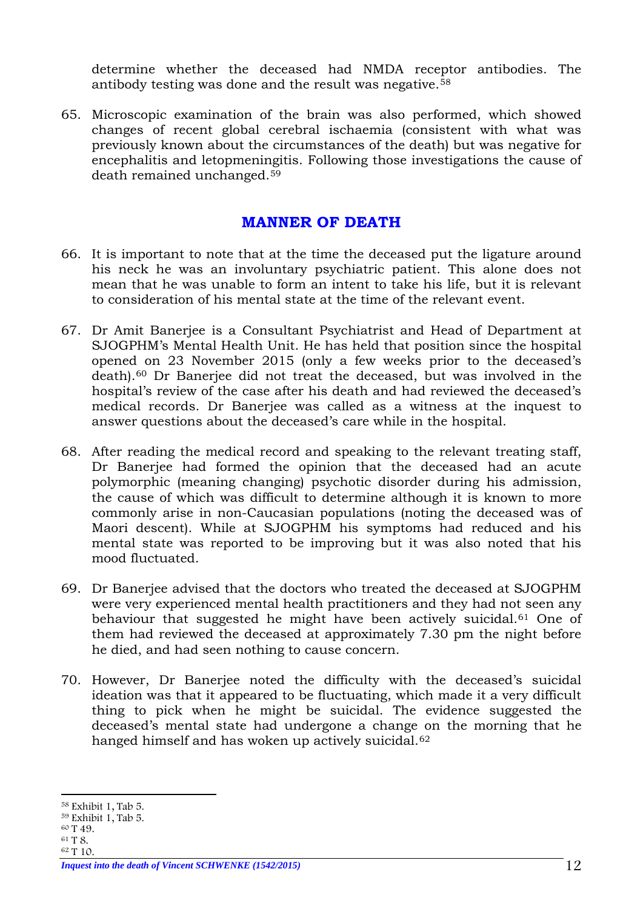determine whether the deceased had NMDA receptor antibodies. The antibody testing was done and the result was negative.[58](#page-10-1)

65. Microscopic examination of the brain was also performed, which showed changes of recent global cerebral ischaemia (consistent with what was previously known about the circumstances of the death) but was negative for encephalitis and letopmeningitis. Following those investigations the cause of death remained unchanged.[59](#page-11-1)

#### **MANNER OF DEATH**

- <span id="page-11-0"></span>66. It is important to note that at the time the deceased put the ligature around his neck he was an involuntary psychiatric patient. This alone does not mean that he was unable to form an intent to take his life, but it is relevant to consideration of his mental state at the time of the relevant event.
- 67. Dr Amit Banerjee is a Consultant Psychiatrist and Head of Department at SJOGPHM's Mental Health Unit. He has held that position since the hospital opened on 23 November 2015 (only a few weeks prior to the deceased's death).[60](#page-11-2) Dr Banerjee did not treat the deceased, but was involved in the hospital's review of the case after his death and had reviewed the deceased's medical records. Dr Banerjee was called as a witness at the inquest to answer questions about the deceased's care while in the hospital.
- 68. After reading the medical record and speaking to the relevant treating staff, Dr Banerjee had formed the opinion that the deceased had an acute polymorphic (meaning changing) psychotic disorder during his admission, the cause of which was difficult to determine although it is known to more commonly arise in non-Caucasian populations (noting the deceased was of Maori descent). While at SJOGPHM his symptoms had reduced and his mental state was reported to be improving but it was also noted that his mood fluctuated.
- 69. Dr Banerjee advised that the doctors who treated the deceased at SJOGPHM were very experienced mental health practitioners and they had not seen any behaviour that suggested he might have been actively suicidal.[61](#page-11-3) One of them had reviewed the deceased at approximately 7.30 pm the night before he died, and had seen nothing to cause concern.
- 70. However, Dr Banerjee noted the difficulty with the deceased's suicidal ideation was that it appeared to be fluctuating, which made it a very difficult thing to pick when he might be suicidal. The evidence suggested the deceased's mental state had undergone a change on the morning that he hanged himself and has woken up actively suicidal.<sup>[62](#page-11-4)</sup>

 <sup>58</sup> Exhibit 1, Tab 5.

<span id="page-11-1"></span><sup>59</sup> Exhibit 1, Tab 5.

<span id="page-11-2"></span><sup>60</sup> T 49. <sup>61</sup> T 8.

<span id="page-11-4"></span><span id="page-11-3"></span><sup>62</sup> T 10.

*Inquest into the death of Vincent SCHWENKE* (1542/2015) 12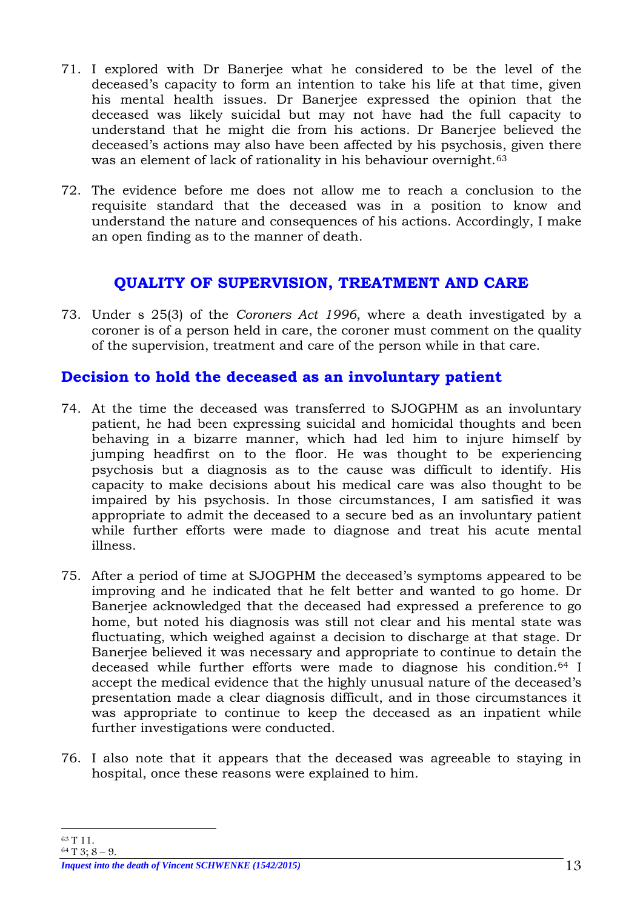- 71. I explored with Dr Banerjee what he considered to be the level of the deceased's capacity to form an intention to take his life at that time, given his mental health issues. Dr Banerjee expressed the opinion that the deceased was likely suicidal but may not have had the full capacity to understand that he might die from his actions. Dr Banerjee believed the deceased's actions may also have been affected by his psychosis, given there was an element of lack of rationality in his behaviour overnight.<sup>[63](#page-11-3)</sup>
- 72. The evidence before me does not allow me to reach a conclusion to the requisite standard that the deceased was in a position to know and understand the nature and consequences of his actions. Accordingly, I make an open finding as to the manner of death.

## **QUALITY OF SUPERVISION, TREATMENT AND CARE**

<span id="page-12-0"></span>73. Under s 25(3) of the *Coroners Act 1996*, where a death investigated by a coroner is of a person held in care, the coroner must comment on the quality of the supervision, treatment and care of the person while in that care.

### <span id="page-12-1"></span>**Decision to hold the deceased as an involuntary patient**

- 74. At the time the deceased was transferred to SJOGPHM as an involuntary patient, he had been expressing suicidal and homicidal thoughts and been behaving in a bizarre manner, which had led him to injure himself by jumping headfirst on to the floor. He was thought to be experiencing psychosis but a diagnosis as to the cause was difficult to identify. His capacity to make decisions about his medical care was also thought to be impaired by his psychosis. In those circumstances, I am satisfied it was appropriate to admit the deceased to a secure bed as an involuntary patient while further efforts were made to diagnose and treat his acute mental illness.
- 75. After a period of time at SJOGPHM the deceased's symptoms appeared to be improving and he indicated that he felt better and wanted to go home. Dr Banerjee acknowledged that the deceased had expressed a preference to go home, but noted his diagnosis was still not clear and his mental state was fluctuating, which weighed against a decision to discharge at that stage. Dr Banerjee believed it was necessary and appropriate to continue to detain the deceased while further efforts were made to diagnose his condition.<sup>[64](#page-12-2)</sup> I accept the medical evidence that the highly unusual nature of the deceased's presentation made a clear diagnosis difficult, and in those circumstances it was appropriate to continue to keep the deceased as an inpatient while further investigations were conducted.
- 76. I also note that it appears that the deceased was agreeable to staying in hospital, once these reasons were explained to him.

<span id="page-12-3"></span> <sup>63</sup> T 11.

<span id="page-12-2"></span>*Inquest into the death of Vincent SCHWENKE* (1542/2015) 13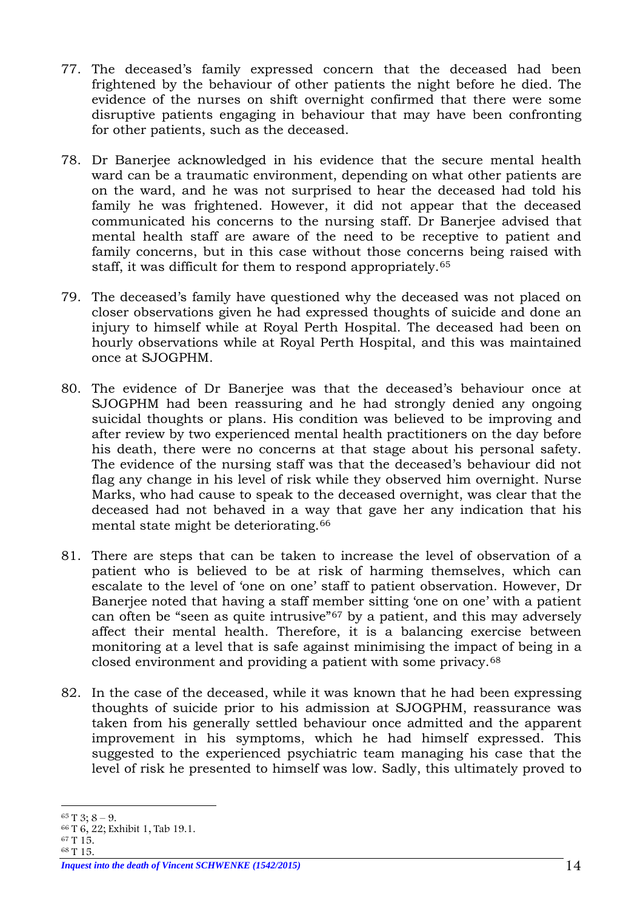- 77. The deceased's family expressed concern that the deceased had been frightened by the behaviour of other patients the night before he died. The evidence of the nurses on shift overnight confirmed that there were some disruptive patients engaging in behaviour that may have been confronting for other patients, such as the deceased.
- 78. Dr Banerjee acknowledged in his evidence that the secure mental health ward can be a traumatic environment, depending on what other patients are on the ward, and he was not surprised to hear the deceased had told his family he was frightened. However, it did not appear that the deceased communicated his concerns to the nursing staff. Dr Banerjee advised that mental health staff are aware of the need to be receptive to patient and family concerns, but in this case without those concerns being raised with staff, it was difficult for them to respond appropriately.<sup>[65](#page-12-3)</sup>
- 79. The deceased's family have questioned why the deceased was not placed on closer observations given he had expressed thoughts of suicide and done an injury to himself while at Royal Perth Hospital. The deceased had been on hourly observations while at Royal Perth Hospital, and this was maintained once at SJOGPHM.
- 80. The evidence of Dr Banerjee was that the deceased's behaviour once at SJOGPHM had been reassuring and he had strongly denied any ongoing suicidal thoughts or plans. His condition was believed to be improving and after review by two experienced mental health practitioners on the day before his death, there were no concerns at that stage about his personal safety. The evidence of the nursing staff was that the deceased's behaviour did not flag any change in his level of risk while they observed him overnight. Nurse Marks, who had cause to speak to the deceased overnight, was clear that the deceased had not behaved in a way that gave her any indication that his mental state might be deteriorating.[66](#page-13-0)
- 81. There are steps that can be taken to increase the level of observation of a patient who is believed to be at risk of harming themselves, which can escalate to the level of 'one on one' staff to patient observation. However, Dr Banerjee noted that having a staff member sitting 'one on one' with a patient can often be "seen as quite intrusive"[67](#page-13-1) by a patient, and this may adversely affect their mental health. Therefore, it is a balancing exercise between monitoring at a level that is safe against minimising the impact of being in a closed environment and providing a patient with some privacy.<sup>[68](#page-13-2)</sup>
- 82. In the case of the deceased, while it was known that he had been expressing thoughts of suicide prior to his admission at SJOGPHM, reassurance was taken from his generally settled behaviour once admitted and the apparent improvement in his symptoms, which he had himself expressed. This suggested to the experienced psychiatric team managing his case that the level of risk he presented to himself was low. Sadly, this ultimately proved to

<span id="page-13-3"></span> $65$  T 3;  $8 - 9$ .

<span id="page-13-0"></span><sup>66</sup> T 6, 22; Exhibit 1, Tab 19.1.

<span id="page-13-1"></span><sup>67</sup> T 15. <sup>68</sup> T 15.

<span id="page-13-2"></span>*Inquest into the death of Vincent SCHWENKE* (1542/2015) 14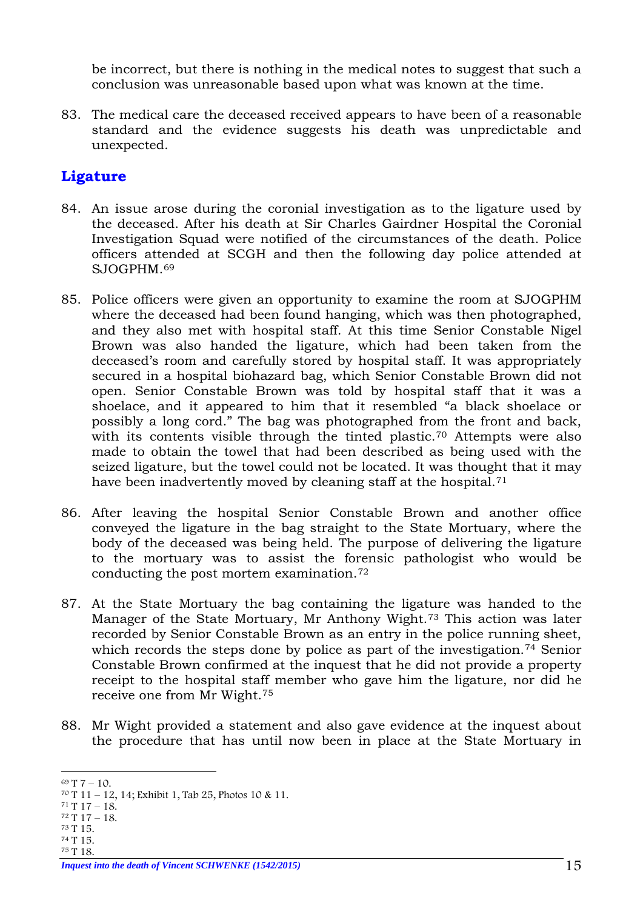be incorrect, but there is nothing in the medical notes to suggest that such a conclusion was unreasonable based upon what was known at the time.

83. The medical care the deceased received appears to have been of a reasonable standard and the evidence suggests his death was unpredictable and unexpected.

# <span id="page-14-0"></span>**Ligature**

- 84. An issue arose during the coronial investigation as to the ligature used by the deceased. After his death at Sir Charles Gairdner Hospital the Coronial Investigation Squad were notified of the circumstances of the death. Police officers attended at SCGH and then the following day police attended at SJOGPHM.[69](#page-13-3)
- 85. Police officers were given an opportunity to examine the room at SJOGPHM where the deceased had been found hanging, which was then photographed, and they also met with hospital staff. At this time Senior Constable Nigel Brown was also handed the ligature, which had been taken from the deceased's room and carefully stored by hospital staff. It was appropriately secured in a hospital biohazard bag, which Senior Constable Brown did not open. Senior Constable Brown was told by hospital staff that it was a shoelace, and it appeared to him that it resembled "a black shoelace or possibly a long cord." The bag was photographed from the front and back, with its contents visible through the tinted plastic.<sup>[70](#page-14-1)</sup> Attempts were also made to obtain the towel that had been described as being used with the seized ligature, but the towel could not be located. It was thought that it may have been inadvertently moved by cleaning staff at the hospital.<sup>[71](#page-14-2)</sup>
- 86. After leaving the hospital Senior Constable Brown and another office conveyed the ligature in the bag straight to the State Mortuary, where the body of the deceased was being held. The purpose of delivering the ligature to the mortuary was to assist the forensic pathologist who would be conducting the post mortem examination.[72](#page-14-3)
- 87. At the State Mortuary the bag containing the ligature was handed to the Manager of the State Mortuary, Mr Anthony Wight.[73](#page-14-4) This action was later recorded by Senior Constable Brown as an entry in the police running sheet, which records the steps done by police as part of the investigation.<sup>[74](#page-14-5)</sup> Senior Constable Brown confirmed at the inquest that he did not provide a property receipt to the hospital staff member who gave him the ligature, nor did he receive one from Mr Wight.[75](#page-14-6)
- 88. Mr Wight provided a statement and also gave evidence at the inquest about the procedure that has until now been in place at the State Mortuary in

<span id="page-14-3"></span> $72$  T  $17 - 18$ .

<span id="page-14-6"></span><span id="page-14-5"></span><sup>75</sup> T 18.

<span id="page-14-7"></span> <sup>69</sup> T 7 – 10.

<span id="page-14-1"></span><sup>70</sup> T 11 – 12, 14; Exhibit 1, Tab 25, Photos 10 & 11.

<span id="page-14-2"></span> $71$  T  $17 - 18$ .

<span id="page-14-4"></span><sup>73</sup> T 15. <sup>74</sup> T 15.

*Inquest into the death of Vincent SCHWENKE* (1542/2015) 15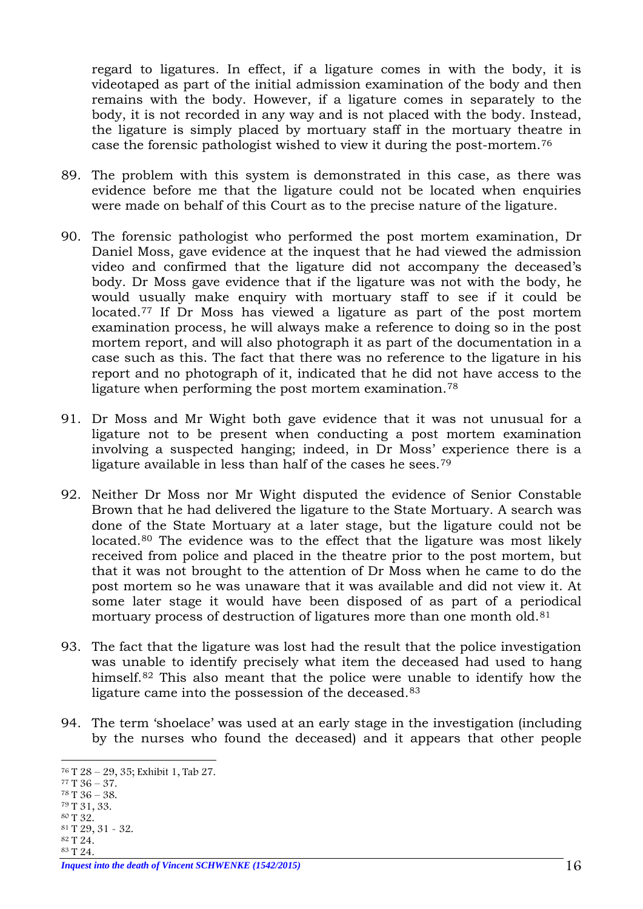regard to ligatures. In effect, if a ligature comes in with the body, it is videotaped as part of the initial admission examination of the body and then remains with the body. However, if a ligature comes in separately to the body, it is not recorded in any way and is not placed with the body. Instead, the ligature is simply placed by mortuary staff in the mortuary theatre in case the forensic pathologist wished to view it during the post-mortem.[76](#page-14-7)

- 89. The problem with this system is demonstrated in this case, as there was evidence before me that the ligature could not be located when enquiries were made on behalf of this Court as to the precise nature of the ligature.
- 90. The forensic pathologist who performed the post mortem examination, Dr Daniel Moss, gave evidence at the inquest that he had viewed the admission video and confirmed that the ligature did not accompany the deceased's body. Dr Moss gave evidence that if the ligature was not with the body, he would usually make enquiry with mortuary staff to see if it could be located.[77](#page-15-0) If Dr Moss has viewed a ligature as part of the post mortem examination process, he will always make a reference to doing so in the post mortem report, and will also photograph it as part of the documentation in a case such as this. The fact that there was no reference to the ligature in his report and no photograph of it, indicated that he did not have access to the ligature when performing the post mortem examination.[78](#page-15-1)
- 91. Dr Moss and Mr Wight both gave evidence that it was not unusual for a ligature not to be present when conducting a post mortem examination involving a suspected hanging; indeed, in Dr Moss' experience there is a ligature available in less than half of the cases he sees.<sup>[79](#page-15-2)</sup>
- 92. Neither Dr Moss nor Mr Wight disputed the evidence of Senior Constable Brown that he had delivered the ligature to the State Mortuary. A search was done of the State Mortuary at a later stage, but the ligature could not be located.<sup>[80](#page-15-3)</sup> The evidence was to the effect that the ligature was most likely received from police and placed in the theatre prior to the post mortem, but that it was not brought to the attention of Dr Moss when he came to do the post mortem so he was unaware that it was available and did not view it. At some later stage it would have been disposed of as part of a periodical mortuary process of destruction of ligatures more than one month old.<sup>[81](#page-15-4)</sup>
- 93. The fact that the ligature was lost had the result that the police investigation was unable to identify precisely what item the deceased had used to hang himself.<sup>[82](#page-15-5)</sup> This also meant that the police were unable to identify how the ligature came into the possession of the deceased.[83](#page-15-6)
- 94. The term 'shoelace' was used at an early stage in the investigation (including by the nurses who found the deceased) and it appears that other people

 <sup>76</sup> T 28 – 29, 35; Exhibit 1, Tab 27.

<span id="page-15-0"></span><sup>77</sup> T 36 – 37.

<span id="page-15-1"></span><sup>78</sup> T 36 – 38. <sup>79</sup> T 31, 33.

<span id="page-15-3"></span><span id="page-15-2"></span><sup>80</sup> T 32.

<span id="page-15-4"></span><sup>81</sup> T 29, 31 - 32.

<span id="page-15-5"></span><sup>82</sup> T 24.

<span id="page-15-6"></span><sup>83</sup> T 24.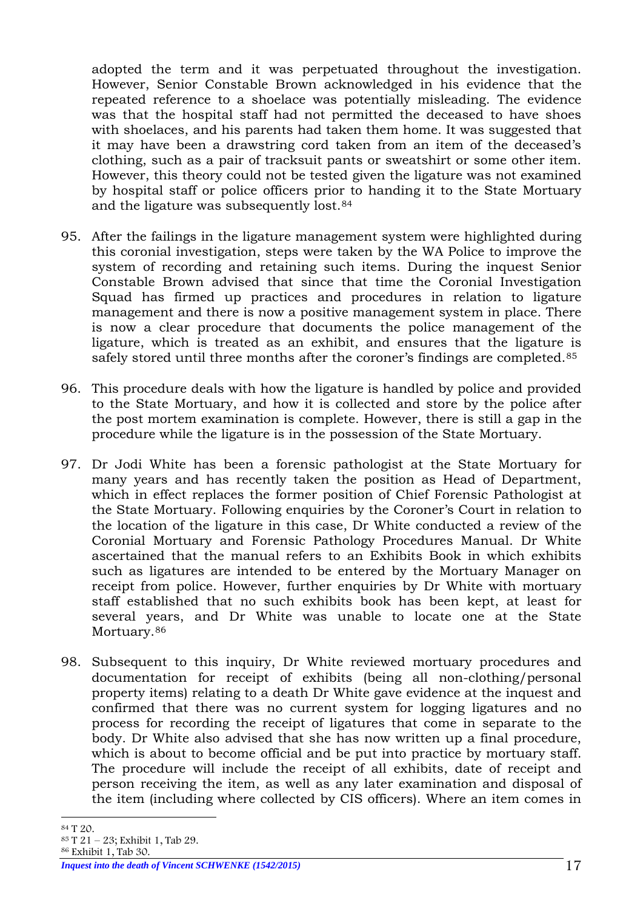adopted the term and it was perpetuated throughout the investigation. However, Senior Constable Brown acknowledged in his evidence that the repeated reference to a shoelace was potentially misleading. The evidence was that the hospital staff had not permitted the deceased to have shoes with shoelaces, and his parents had taken them home. It was suggested that it may have been a drawstring cord taken from an item of the deceased's clothing, such as a pair of tracksuit pants or sweatshirt or some other item. However, this theory could not be tested given the ligature was not examined by hospital staff or police officers prior to handing it to the State Mortuary and the ligature was subsequently lost.<sup>[84](#page-15-4)</sup>

- 95. After the failings in the ligature management system were highlighted during this coronial investigation, steps were taken by the WA Police to improve the system of recording and retaining such items. During the inquest Senior Constable Brown advised that since that time the Coronial Investigation Squad has firmed up practices and procedures in relation to ligature management and there is now a positive management system in place. There is now a clear procedure that documents the police management of the ligature, which is treated as an exhibit, and ensures that the ligature is safely stored until three months after the coroner's findings are completed.<sup>[85](#page-16-0)</sup>
- 96. This procedure deals with how the ligature is handled by police and provided to the State Mortuary, and how it is collected and store by the police after the post mortem examination is complete. However, there is still a gap in the procedure while the ligature is in the possession of the State Mortuary.
- 97. Dr Jodi White has been a forensic pathologist at the State Mortuary for many years and has recently taken the position as Head of Department, which in effect replaces the former position of Chief Forensic Pathologist at the State Mortuary. Following enquiries by the Coroner's Court in relation to the location of the ligature in this case, Dr White conducted a review of the Coronial Mortuary and Forensic Pathology Procedures Manual. Dr White ascertained that the manual refers to an Exhibits Book in which exhibits such as ligatures are intended to be entered by the Mortuary Manager on receipt from police. However, further enquiries by Dr White with mortuary staff established that no such exhibits book has been kept, at least for several years, and Dr White was unable to locate one at the State Mortuary.<sup>[86](#page-16-1)</sup>
- <span id="page-16-2"></span><span id="page-16-1"></span><span id="page-16-0"></span>98. Subsequent to this inquiry, Dr White reviewed mortuary procedures and documentation for receipt of exhibits (being all non-clothing/personal property items) relating to a death Dr White gave evidence at the inquest and confirmed that there was no current system for logging ligatures and no process for recording the receipt of ligatures that come in separate to the body. Dr White also advised that she has now written up a final procedure, which is about to become official and be put into practice by mortuary staff. The procedure will include the receipt of all exhibits, date of receipt and person receiving the item, as well as any later examination and disposal of the item (including where collected by CIS officers). Where an item comes in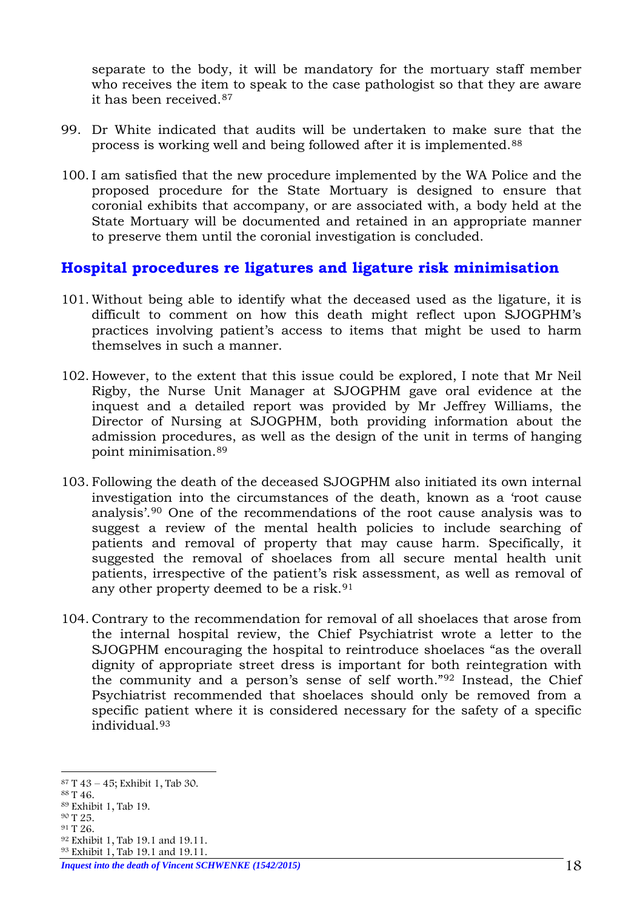separate to the body, it will be mandatory for the mortuary staff member who receives the item to speak to the case pathologist so that they are aware it has been received.[87](#page-16-2)

- 99. Dr White indicated that audits will be undertaken to make sure that the process is working well and being followed after it is implemented.[88](#page-17-1)
- 100. I am satisfied that the new procedure implemented by the WA Police and the proposed procedure for the State Mortuary is designed to ensure that coronial exhibits that accompany, or are associated with, a body held at the State Mortuary will be documented and retained in an appropriate manner to preserve them until the coronial investigation is concluded.

## <span id="page-17-0"></span>**Hospital procedures re ligatures and ligature risk minimisation**

- 101. Without being able to identify what the deceased used as the ligature, it is difficult to comment on how this death might reflect upon SJOGPHM's practices involving patient's access to items that might be used to harm themselves in such a manner.
- 102. However, to the extent that this issue could be explored, I note that Mr Neil Rigby, the Nurse Unit Manager at SJOGPHM gave oral evidence at the inquest and a detailed report was provided by Mr Jeffrey Williams, the Director of Nursing at SJOGPHM, both providing information about the admission procedures, as well as the design of the unit in terms of hanging point minimisation.[89](#page-17-2)
- 103. Following the death of the deceased SJOGPHM also initiated its own internal investigation into the circumstances of the death, known as a 'root cause analysis'.[90](#page-17-3) One of the recommendations of the root cause analysis was to suggest a review of the mental health policies to include searching of patients and removal of property that may cause harm. Specifically, it suggested the removal of shoelaces from all secure mental health unit patients, irrespective of the patient's risk assessment, as well as removal of any other property deemed to be a risk.<sup>[91](#page-17-4)</sup>
- 104. Contrary to the recommendation for removal of all shoelaces that arose from the internal hospital review, the Chief Psychiatrist wrote a letter to the SJOGPHM encouraging the hospital to reintroduce shoelaces "as the overall dignity of appropriate street dress is important for both reintegration with the community and a person's sense of self worth."[92](#page-17-5) Instead, the Chief Psychiatrist recommended that shoelaces should only be removed from a specific patient where it is considered necessary for the safety of a specific individual.[93](#page-17-6)

 <sup>87</sup> T 43 – 45; Exhibit 1, Tab 30.

<span id="page-17-1"></span><sup>88</sup> T 46.

<span id="page-17-2"></span><sup>89</sup> Exhibit 1, Tab 19.

<span id="page-17-3"></span><sup>90</sup> T 25.

<span id="page-17-4"></span><sup>91</sup> T 26.

<span id="page-17-5"></span><sup>92</sup> Exhibit 1, Tab 19.1 and 19.11. <sup>93</sup> Exhibit 1, Tab 19.1 and 19.11.

<span id="page-17-6"></span>*Inquest into the death of Vincent SCHWENKE* (1542/2015) 18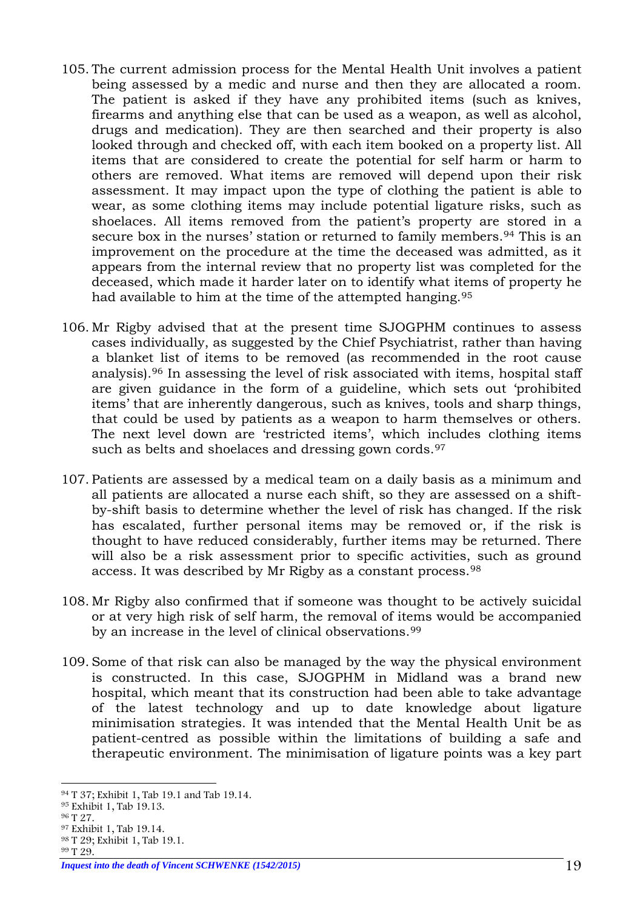- 105. The current admission process for the Mental Health Unit involves a patient being assessed by a medic and nurse and then they are allocated a room. The patient is asked if they have any prohibited items (such as knives, firearms and anything else that can be used as a weapon, as well as alcohol, drugs and medication). They are then searched and their property is also looked through and checked off, with each item booked on a property list. All items that are considered to create the potential for self harm or harm to others are removed. What items are removed will depend upon their risk assessment. It may impact upon the type of clothing the patient is able to wear, as some clothing items may include potential ligature risks, such as shoelaces. All items removed from the patient's property are stored in a secure box in the nurses' station or returned to family members.<sup>[94](#page-17-1)</sup> This is an improvement on the procedure at the time the deceased was admitted, as it appears from the internal review that no property list was completed for the deceased, which made it harder later on to identify what items of property he had available to him at the time of the attempted hanging.<sup>[95](#page-18-0)</sup>
- 106. Mr Rigby advised that at the present time SJOGPHM continues to assess cases individually, as suggested by the Chief Psychiatrist, rather than having a blanket list of items to be removed (as recommended in the root cause analysis).[96](#page-18-1) In assessing the level of risk associated with items, hospital staff are given guidance in the form of a guideline, which sets out 'prohibited items' that are inherently dangerous, such as knives, tools and sharp things, that could be used by patients as a weapon to harm themselves or others. The next level down are 'restricted items', which includes clothing items such as belts and shoelaces and dressing gown cords.<sup>[97](#page-18-2)</sup>
- 107. Patients are assessed by a medical team on a daily basis as a minimum and all patients are allocated a nurse each shift, so they are assessed on a shiftby-shift basis to determine whether the level of risk has changed. If the risk has escalated, further personal items may be removed or, if the risk is thought to have reduced considerably, further items may be returned. There will also be a risk assessment prior to specific activities, such as ground access. It was described by Mr Rigby as a constant process.[98](#page-18-3)
- 108. Mr Rigby also confirmed that if someone was thought to be actively suicidal or at very high risk of self harm, the removal of items would be accompanied by an increase in the level of clinical observations.<sup>[99](#page-18-4)</sup>
- 109. Some of that risk can also be managed by the way the physical environment is constructed. In this case, SJOGPHM in Midland was a brand new hospital, which meant that its construction had been able to take advantage of the latest technology and up to date knowledge about ligature minimisation strategies. It was intended that the Mental Health Unit be as patient-centred as possible within the limitations of building a safe and therapeutic environment. The minimisation of ligature points was a key part

 <sup>94</sup> T 37; Exhibit 1, Tab 19.1 and Tab 19.14.

<span id="page-18-0"></span><sup>95</sup> Exhibit 1, Tab 19.13.

<span id="page-18-1"></span><sup>96</sup> T 27.

<span id="page-18-2"></span><sup>97</sup> Exhibit 1, Tab 19.14.

<span id="page-18-3"></span><sup>98</sup> T 29; Exhibit 1, Tab 19.1.

<sup>99</sup> T 29.

<span id="page-18-4"></span>*Inquest into the death of Vincent SCHWENKE* (1542/2015) 19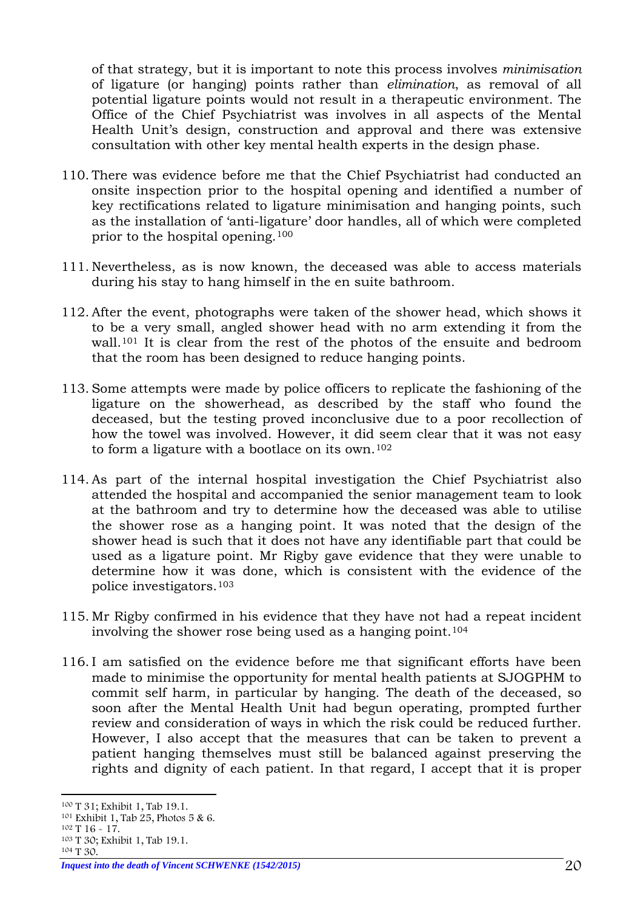of that strategy, but it is important to note this process involves *minimisation* of ligature (or hanging) points rather than *elimination*, as removal of all potential ligature points would not result in a therapeutic environment. The Office of the Chief Psychiatrist was involves in all aspects of the Mental Health Unit's design, construction and approval and there was extensive consultation with other key mental health experts in the design phase.

- 110. There was evidence before me that the Chief Psychiatrist had conducted an onsite inspection prior to the hospital opening and identified a number of key rectifications related to ligature minimisation and hanging points, such as the installation of 'anti-ligature' door handles, all of which were completed prior to the hospital opening.[100](#page-18-0)
- 111. Nevertheless, as is now known, the deceased was able to access materials during his stay to hang himself in the en suite bathroom.
- 112. After the event, photographs were taken of the shower head, which shows it to be a very small, angled shower head with no arm extending it from the wall.<sup>[101](#page-19-0)</sup> It is clear from the rest of the photos of the ensuite and bedroom that the room has been designed to reduce hanging points.
- 113. Some attempts were made by police officers to replicate the fashioning of the ligature on the showerhead, as described by the staff who found the deceased, but the testing proved inconclusive due to a poor recollection of how the towel was involved. However, it did seem clear that it was not easy to form a ligature with a bootlace on its own.<sup>[102](#page-19-1)</sup>
- 114. As part of the internal hospital investigation the Chief Psychiatrist also attended the hospital and accompanied the senior management team to look at the bathroom and try to determine how the deceased was able to utilise the shower rose as a hanging point. It was noted that the design of the shower head is such that it does not have any identifiable part that could be used as a ligature point. Mr Rigby gave evidence that they were unable to determine how it was done, which is consistent with the evidence of the police investigators.[103](#page-19-2)
- 115. Mr Rigby confirmed in his evidence that they have not had a repeat incident involving the shower rose being used as a hanging point.<sup>[104](#page-19-3)</sup>
- 116. I am satisfied on the evidence before me that significant efforts have been made to minimise the opportunity for mental health patients at SJOGPHM to commit self harm, in particular by hanging. The death of the deceased, so soon after the Mental Health Unit had begun operating, prompted further review and consideration of ways in which the risk could be reduced further. However, I also accept that the measures that can be taken to prevent a patient hanging themselves must still be balanced against preserving the rights and dignity of each patient. In that regard, I accept that it is proper

 <sup>100</sup> T 31; Exhibit 1, Tab 19.1.

<span id="page-19-0"></span><sup>101</sup> Exhibit 1, Tab 25, Photos 5 & 6.

<span id="page-19-1"></span> $102$  T 16 - 17.

<span id="page-19-2"></span><sup>103</sup> T 30; Exhibit 1, Tab 19.1. <sup>104</sup> T 30.

<span id="page-19-3"></span>*Inquest into the death of Vincent SCHWENKE (1542/2015)* 20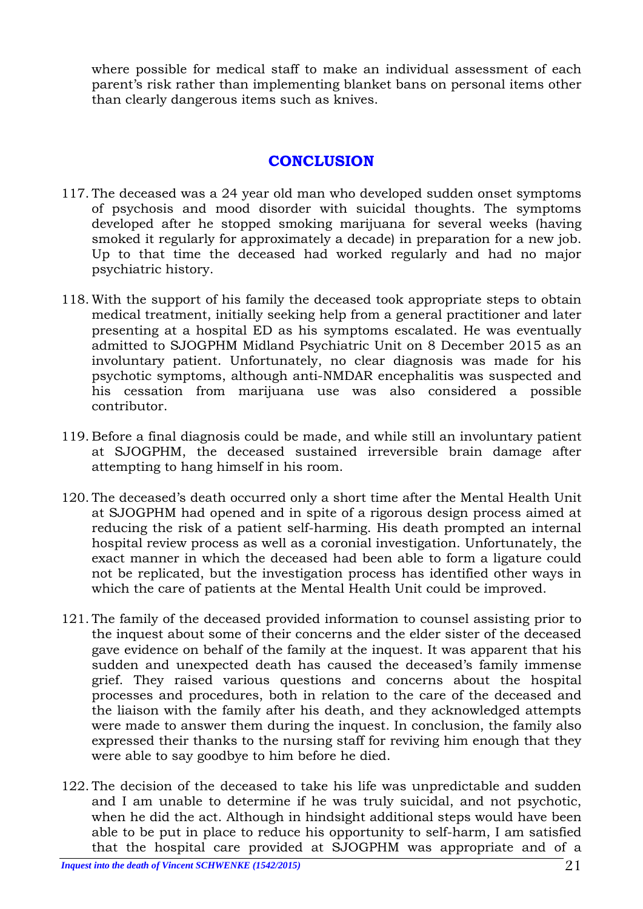where possible for medical staff to make an individual assessment of each parent's risk rather than implementing blanket bans on personal items other than clearly dangerous items such as knives.

# **CONCLUSION**

- <span id="page-20-0"></span>117. The deceased was a 24 year old man who developed sudden onset symptoms of psychosis and mood disorder with suicidal thoughts. The symptoms developed after he stopped smoking marijuana for several weeks (having smoked it regularly for approximately a decade) in preparation for a new job. Up to that time the deceased had worked regularly and had no major psychiatric history.
- 118. With the support of his family the deceased took appropriate steps to obtain medical treatment, initially seeking help from a general practitioner and later presenting at a hospital ED as his symptoms escalated. He was eventually admitted to SJOGPHM Midland Psychiatric Unit on 8 December 2015 as an involuntary patient. Unfortunately, no clear diagnosis was made for his psychotic symptoms, although anti-NMDAR encephalitis was suspected and his cessation from marijuana use was also considered a possible contributor.
- 119. Before a final diagnosis could be made, and while still an involuntary patient at SJOGPHM, the deceased sustained irreversible brain damage after attempting to hang himself in his room.
- 120. The deceased's death occurred only a short time after the Mental Health Unit at SJOGPHM had opened and in spite of a rigorous design process aimed at reducing the risk of a patient self-harming. His death prompted an internal hospital review process as well as a coronial investigation. Unfortunately, the exact manner in which the deceased had been able to form a ligature could not be replicated, but the investigation process has identified other ways in which the care of patients at the Mental Health Unit could be improved.
- 121. The family of the deceased provided information to counsel assisting prior to the inquest about some of their concerns and the elder sister of the deceased gave evidence on behalf of the family at the inquest. It was apparent that his sudden and unexpected death has caused the deceased's family immense grief. They raised various questions and concerns about the hospital processes and procedures, both in relation to the care of the deceased and the liaison with the family after his death, and they acknowledged attempts were made to answer them during the inquest. In conclusion, the family also expressed their thanks to the nursing staff for reviving him enough that they were able to say goodbye to him before he died.
- 122. The decision of the deceased to take his life was unpredictable and sudden and I am unable to determine if he was truly suicidal, and not psychotic, when he did the act. Although in hindsight additional steps would have been able to be put in place to reduce his opportunity to self-harm, I am satisfied that the hospital care provided at SJOGPHM was appropriate and of a